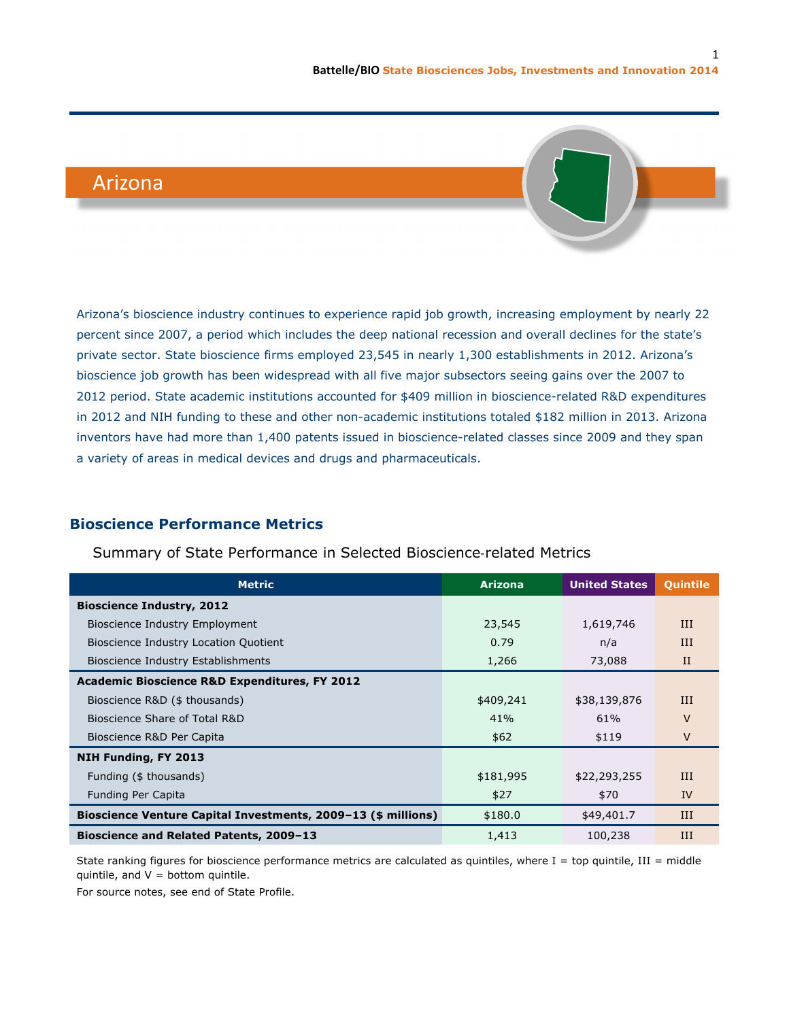# Arizona



Arizona's bioscience industry continues to experience rapid job growth, increasing employment by nearly 22 percent since 2007, a period which includes the deep national recession and overall declines for the state's private sector. State bioscience firms employed 23,545 in nearly 1,300 establishments in 2012. Arizona's bioscience job growth has been widespread with all five major subsectors seeing gains over the 2007 to 2012 period. State academic institutions accounted for \$409 million in bioscience-related R&D expenditures in 2012 and NIH funding to these and other non-academic institutions totaled \$182 million in 2013. Arizona inventors have had more than 1,400 patents issued in bioscience-related classes since 2009 and they span a variety of areas in medical devices and drugs and pharmaceuticals.

## **Bioscience Performance Metrics**

### Summary of State Performance in Selected Bioscience‐related Metrics

| <b>Metric</b>                                                 | <b>Arizona</b> | <b>United States</b> | Quintile     |
|---------------------------------------------------------------|----------------|----------------------|--------------|
| <b>Bioscience Industry, 2012</b>                              |                |                      |              |
| Bioscience Industry Employment                                | 23,545         | 1,619,746            | III          |
| Bioscience Industry Location Quotient                         | 0.79           | n/a                  | $_{\rm III}$ |
| <b>Bioscience Industry Establishments</b>                     | 1,266          | 73,088               | $_{\rm II}$  |
| <b>Academic Bioscience R&amp;D Expenditures, FY 2012</b>      |                |                      |              |
| Bioscience R&D (\$ thousands)                                 | \$409,241      | \$38,139,876         | $_{\rm III}$ |
| Bioscience Share of Total R&D                                 | 41%            | 61%                  | V            |
| Bioscience R&D Per Capita                                     | \$62           | \$119                | V            |
| NIH Funding, FY 2013                                          |                |                      |              |
| Funding (\$ thousands)                                        | \$181,995      | \$22,293,255         | III          |
| Funding Per Capita                                            | \$27           | \$70                 | IV           |
| Bioscience Venture Capital Investments, 2009-13 (\$ millions) | \$180.0        | \$49,401.7           | III          |
| <b>Bioscience and Related Patents, 2009-13</b>                | 1,413          | 100,238              | III          |

State ranking figures for bioscience performance metrics are calculated as quintiles, where  $I = top$  quintile,  $III = mid$ dle quintile, and  $V =$  bottom quintile.

For source notes, see end of State Profile.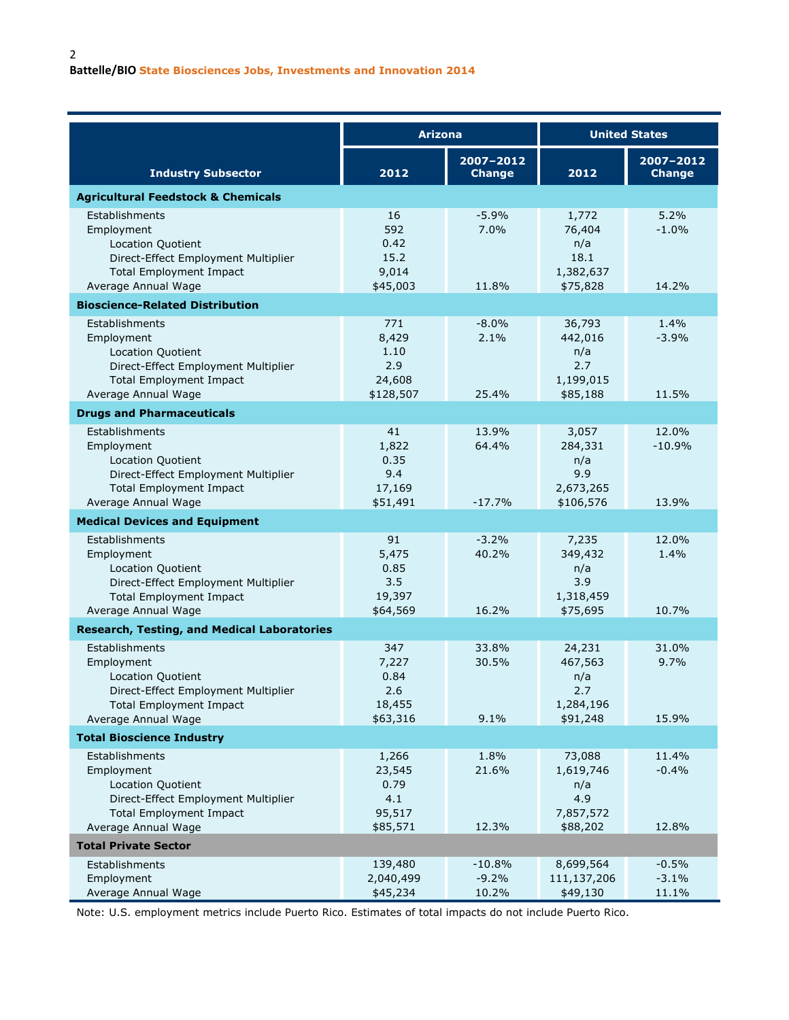|                                                                                                                                                          | <b>Arizona</b>                                       |                              | <b>United States</b>                                       |                             |  |  |
|----------------------------------------------------------------------------------------------------------------------------------------------------------|------------------------------------------------------|------------------------------|------------------------------------------------------------|-----------------------------|--|--|
| <b>Industry Subsector</b>                                                                                                                                | 2012                                                 | 2007-2012<br><b>Change</b>   | 2012                                                       | 2007-2012<br><b>Change</b>  |  |  |
| <b>Agricultural Feedstock &amp; Chemicals</b>                                                                                                            |                                                      |                              |                                                            |                             |  |  |
| Establishments<br>Employment<br><b>Location Quotient</b><br>Direct-Effect Employment Multiplier<br><b>Total Employment Impact</b><br>Average Annual Wage | 16<br>592<br>0.42<br>15.2<br>9,014<br>\$45,003       | $-5.9%$<br>7.0%<br>11.8%     | 1,772<br>76,404<br>n/a<br>18.1<br>1,382,637<br>\$75,828    | 5.2%<br>$-1.0%$<br>14.2%    |  |  |
| <b>Bioscience-Related Distribution</b>                                                                                                                   |                                                      |                              |                                                            |                             |  |  |
| Establishments<br>Employment<br>Location Quotient<br>Direct-Effect Employment Multiplier<br><b>Total Employment Impact</b><br>Average Annual Wage        | 771<br>8,429<br>1.10<br>2.9<br>24,608<br>\$128,507   | $-8.0%$<br>2.1%<br>25.4%     | 36,793<br>442,016<br>n/a<br>2.7<br>1,199,015<br>\$85,188   | 1.4%<br>$-3.9%$<br>11.5%    |  |  |
| <b>Drugs and Pharmaceuticals</b>                                                                                                                         |                                                      |                              |                                                            |                             |  |  |
| Establishments<br>Employment<br>Location Quotient<br>Direct-Effect Employment Multiplier<br><b>Total Employment Impact</b>                               | 41<br>1,822<br>0.35<br>9.4<br>17,169                 | 13.9%<br>64.4%               | 3,057<br>284,331<br>n/a<br>9.9<br>2,673,265                | 12.0%<br>$-10.9%$           |  |  |
| Average Annual Wage<br><b>Medical Devices and Equipment</b>                                                                                              | \$51,491                                             | $-17.7%$                     | \$106,576                                                  | 13.9%                       |  |  |
| Establishments<br>Employment<br>Location Quotient<br>Direct-Effect Employment Multiplier<br><b>Total Employment Impact</b><br>Average Annual Wage        | 91<br>5,475<br>0.85<br>3.5<br>19,397<br>\$64,569     | $-3.2%$<br>40.2%<br>16.2%    | 7,235<br>349,432<br>n/a<br>3.9<br>1,318,459<br>\$75,695    | 12.0%<br>1.4%<br>10.7%      |  |  |
| <b>Research, Testing, and Medical Laboratories</b>                                                                                                       |                                                      |                              |                                                            |                             |  |  |
| Establishments<br>Employment<br>Location Quotient<br>Direct-Effect Employment Multiplier<br><b>Total Employment Impact</b><br>Average Annual Wage        | 347<br>7,227<br>0.84<br>2.6<br>18,455<br>\$63,316    | 33.8%<br>30.5%<br>9.1%       | 24,231<br>467,563<br>n/a<br>2.7<br>1,284,196<br>\$91,248   | 31.0%<br>9.7%<br>15.9%      |  |  |
| <b>Total Bioscience Industry</b>                                                                                                                         |                                                      |                              |                                                            |                             |  |  |
| Establishments<br>Employment<br>Location Quotient<br>Direct-Effect Employment Multiplier<br><b>Total Employment Impact</b><br>Average Annual Wage        | 1,266<br>23,545<br>0.79<br>4.1<br>95,517<br>\$85,571 | 1.8%<br>21.6%<br>12.3%       | 73,088<br>1,619,746<br>n/a<br>4.9<br>7,857,572<br>\$88,202 | 11.4%<br>$-0.4%$<br>12.8%   |  |  |
| <b>Total Private Sector</b>                                                                                                                              |                                                      |                              |                                                            |                             |  |  |
| Establishments<br>Employment<br>Average Annual Wage                                                                                                      | 139,480<br>2,040,499<br>\$45,234                     | $-10.8%$<br>$-9.2%$<br>10.2% | 8,699,564<br>111,137,206<br>\$49,130                       | $-0.5%$<br>$-3.1%$<br>11.1% |  |  |

Note: U.S. employment metrics include Puerto Rico. Estimates of total impacts do not include Puerto Rico.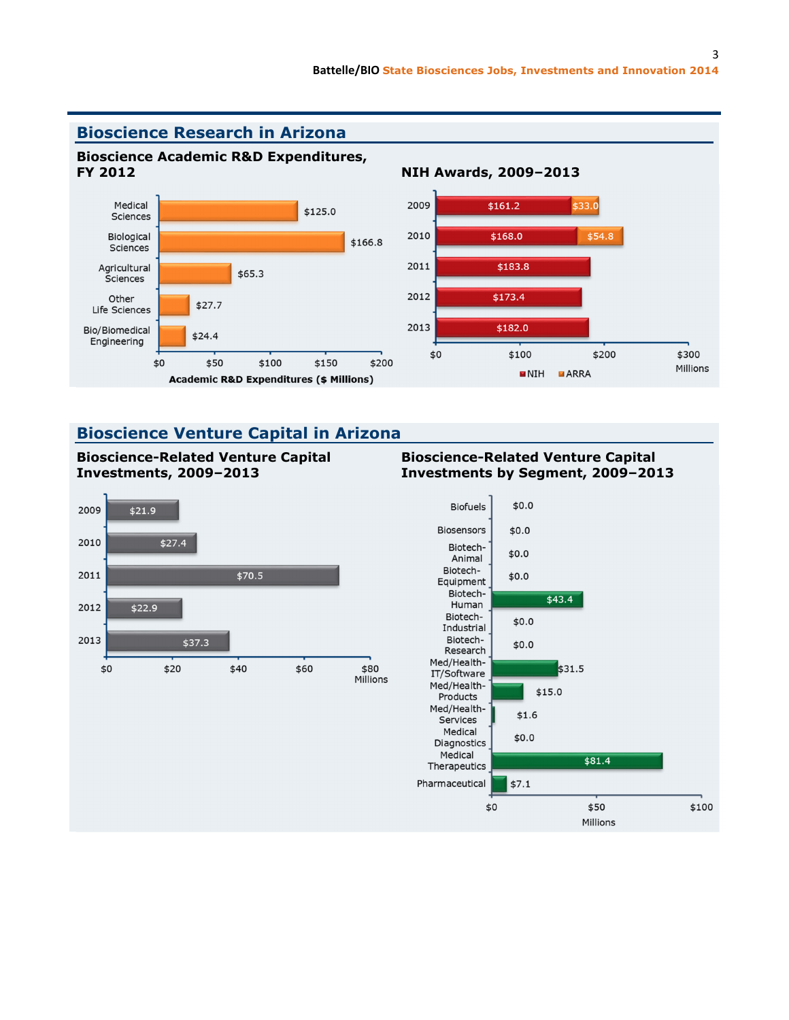

## **Bioscience Venture Capital in Arizona**

**Bioscience-Related Venture Capital** 



#### **Bioscience-Related Venture Capital Investments by Segment, 2009–2013**